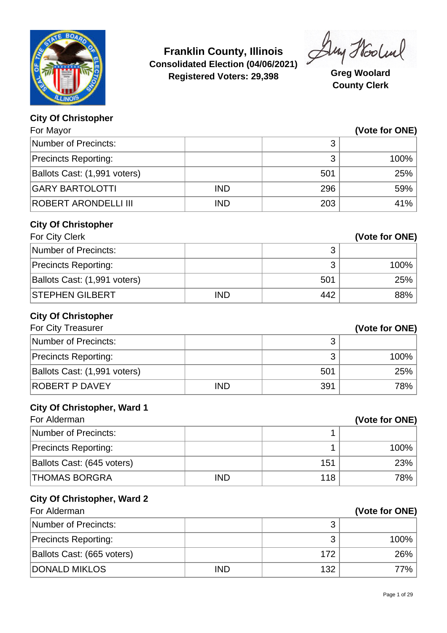

**Franklin County, Illinois Consolidated Election (04/06/2021) Registered Voters: 29,398 Greg Woolard**

Duy Hooland

**County Clerk**

## **City Of Christopher**

| For Mayor                          |            |     | (Vote for ONE) |
|------------------------------------|------------|-----|----------------|
| <b>Number of Precincts:</b>        |            | 3   |                |
| <b>Precincts Reporting:</b>        |            | 3   | 100%           |
| Ballots Cast: (1,991 voters)       |            | 501 | 25%            |
| <b>GARY BARTOLOTTI</b>             | <b>IND</b> | 296 | 59%            |
| ROBERT ARONDELLI III               | <b>IND</b> | 203 | 41%            |
| <b>City Of Christopher</b>         |            |     |                |
| For City Clerk                     |            |     | (Vote for ONE) |
| <b>Number of Precincts:</b>        |            | 3   |                |
| <b>Precincts Reporting:</b>        |            | 3   | 100%           |
| Ballots Cast: (1,991 voters)       |            | 501 | 25%            |
| <b>STEPHEN GILBERT</b>             | <b>IND</b> | 442 | 88%            |
| <b>City Of Christopher</b>         |            |     |                |
| For City Treasurer                 |            |     | (Vote for ONE) |
| <b>Number of Precincts:</b>        |            | 3   |                |
| <b>Precincts Reporting:</b>        |            | 3   | 100%           |
| Ballots Cast: (1,991 voters)       |            | 501 | 25%            |
| <b>ROBERT P DAVEY</b>              | <b>IND</b> | 391 | 78%            |
| <b>City Of Christopher, Ward 1</b> |            |     |                |
| For Alderman                       |            |     | (Vote for ONE) |
| <b>Number of Precincts:</b>        |            | 1   |                |
| <b>Precincts Reporting:</b>        |            | 1   | 100%           |
| Ballots Cast: (645 voters)         |            | 151 | 23%            |
| <b>THOMAS BORGRA</b>               | <b>IND</b> | 118 | 78%            |
| <b>City Of Christopher, Ward 2</b> |            |     |                |
| For Alderman                       |            |     | (Vote for ONE) |
| <b>Number of Precincts:</b>        |            | 3   |                |
| <b>Precincts Reporting:</b>        |            | 3   | 100%           |
| Ballots Cast: (665 voters)         |            | 172 | 26%            |
| <b>DONALD MIKLOS</b>               | <b>IND</b> | 132 | 77%            |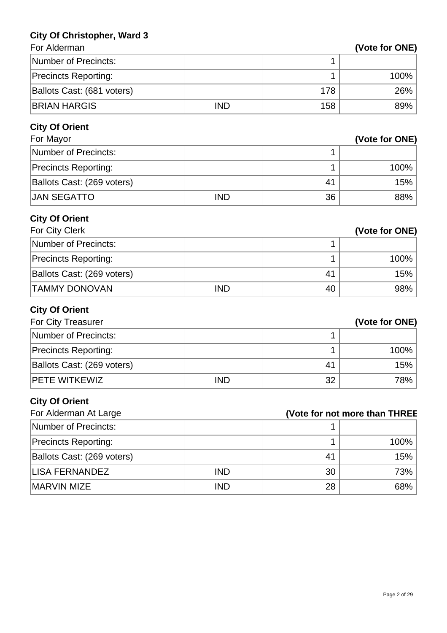## **City Of Christopher, Ward 3**

| <b>For Alderman</b> |  |
|---------------------|--|

| For Alderman                |            |     | (Vote for ONE)                |
|-----------------------------|------------|-----|-------------------------------|
| <b>Number of Precincts:</b> |            | 1   |                               |
| <b>Precincts Reporting:</b> |            | 1   | 100%                          |
| Ballots Cast: (681 voters)  |            | 178 | 26%                           |
| <b>BRIAN HARGIS</b>         | <b>IND</b> | 158 | 89%                           |
| <b>City Of Orient</b>       |            |     |                               |
| For Mayor                   |            |     | (Vote for ONE)                |
| <b>Number of Precincts:</b> |            | 1   |                               |
| <b>Precincts Reporting:</b> |            | 1   | 100%                          |
| Ballots Cast: (269 voters)  |            | 41  | 15%                           |
| <b>JAN SEGATTO</b>          | <b>IND</b> | 36  | 88%                           |
| <b>City Of Orient</b>       |            |     |                               |
| For City Clerk              |            |     | (Vote for ONE)                |
| <b>Number of Precincts:</b> |            | 1   |                               |
| <b>Precincts Reporting:</b> |            | 1   | 100%                          |
| Ballots Cast: (269 voters)  |            | 41  | 15%                           |
| <b>TAMMY DONOVAN</b>        | <b>IND</b> | 40  | 98%                           |
| <b>City Of Orient</b>       |            |     |                               |
| For City Treasurer          |            |     | (Vote for ONE)                |
| Number of Precincts:        |            | 1   |                               |
| <b>Precincts Reporting:</b> |            | 1   | 100%                          |
| Ballots Cast: (269 voters)  |            | 41  | 15%                           |
| PETE WITKEWIZ               | <b>IND</b> | 32  | 78%                           |
| <b>City Of Orient</b>       |            |     |                               |
| For Alderman At Large       |            |     | (Vote for not more than THREE |
| Number of Precincts:        |            | 1   |                               |
| <b>Precincts Reporting:</b> |            | 1   | 100%                          |
| Ballots Cast: (269 voters)  |            | 41  | 15%                           |
| <b>LISA FERNANDEZ</b>       | <b>IND</b> | 30  | 73%                           |
| <b>MARVIN MIZE</b>          | <b>IND</b> | 28  | 68%                           |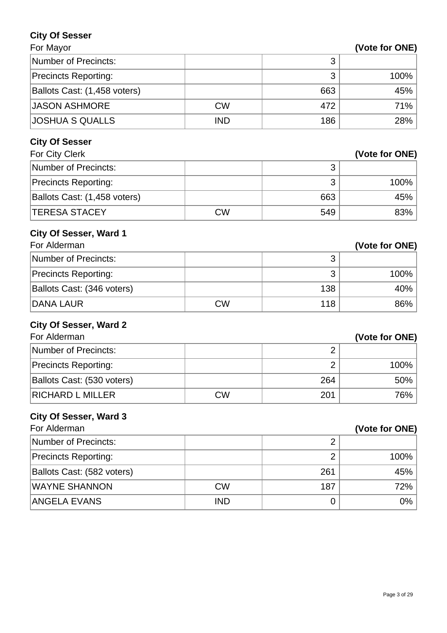### **City Of Sesser**

| For Mayor | (Vote for ONE) |
|-----------|----------------|
|           |                |

| Number of Precincts:         |            |     |         |
|------------------------------|------------|-----|---------|
| <b>Precincts Reporting:</b>  |            | ◠   | $100\%$ |
| Ballots Cast: (1,458 voters) |            | 663 | 45%     |
| <b>JASON ASHMORE</b>         | <b>CW</b>  | 472 | 71%     |
| <b>JOSHUA S QUALLS</b>       | <b>IND</b> | 186 | 28%     |

## **City Of Sesser**

| For City Clerk               |    |     | (Vote for ONE) |
|------------------------------|----|-----|----------------|
| Number of Precincts:         |    |     |                |
| <b>Precincts Reporting:</b>  |    | っ   | $100\%$        |
| Ballots Cast: (1,458 voters) |    | 663 | 45%            |
| <b>ITERESA STACEY</b>        | CW | 549 | 83%            |

## **City Of Sesser, Ward 1**

| For Alderman                |           |     | (Vote for ONE) |
|-----------------------------|-----------|-----|----------------|
| Number of Precincts:        |           |     |                |
| <b>Precincts Reporting:</b> |           | ◠   | 100%           |
| Ballots Cast: (346 voters)  |           | 138 | 40%            |
| <b>DANA LAUR</b>            | <b>CW</b> | 118 | 86%            |

#### **City Of Sesser, Ward 2**

| For Alderman                |           |     | (Vote for ONE) |
|-----------------------------|-----------|-----|----------------|
| Number of Precincts:        |           |     |                |
| <b>Precincts Reporting:</b> |           |     | $100\%$        |
| Ballots Cast: (530 voters)  |           | 264 | $50\%$         |
| <b>RICHARD L MILLER</b>     | <b>CW</b> | 201 | 76%            |

# **City Of Sesser, Ward 3**

| For Alderman                |            |     | (Vote for ONE) |
|-----------------------------|------------|-----|----------------|
| Number of Precincts:        |            |     |                |
| <b>Precincts Reporting:</b> |            |     | 100%           |
| Ballots Cast: (582 voters)  |            | 261 | 45%            |
| <b>WAYNE SHANNON</b>        | <b>CW</b>  | 187 | 72%            |
| ANGELA EVANS                | <b>IND</b> |     | $0\%$          |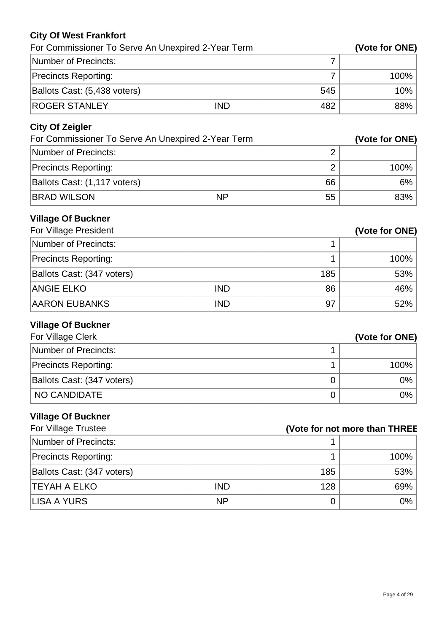### **City Of West Frankfort**

| For Commissioner To Serve An Unexpired 2-Year Term |            |     | (Vote for ONE) |
|----------------------------------------------------|------------|-----|----------------|
| Number of Precincts:                               |            |     |                |
| <b>Precincts Reporting:</b>                        |            |     | $100\%$        |
| Ballots Cast: (5,438 voters)                       |            | 545 | $10\%$         |
| <b>ROGER STANLEY</b>                               | <b>IND</b> | 482 | $88\%$         |

## **City Of Zeigler**

| For Commissioner To Serve An Unexpired 2-Year Term |           |    | (Vote for ONE) |
|----------------------------------------------------|-----------|----|----------------|
| Number of Precincts:                               |           |    |                |
| <b>Precincts Reporting:</b>                        |           |    | $100\%$        |
| Ballots Cast: (1,117 voters)                       |           | 66 | $6\%$          |
| <b>BRAD WILSON</b>                                 | <b>NP</b> | 55 | 83%            |

## **Village Of Buckner**

| For Village President       |            | (Vote for ONE) |      |
|-----------------------------|------------|----------------|------|
| Number of Precincts:        |            |                |      |
| <b>Precincts Reporting:</b> |            |                | 100% |
| Ballots Cast: (347 voters)  |            | 185            | 53%  |
| <b>ANGIE ELKO</b>           | <b>IND</b> | 86             | 46%  |
| <b>AARON EUBANKS</b>        | <b>IND</b> | 97             | 52%  |

### **Village Of Buckner**

| For Village Clerk           | (Vote for ONE) |
|-----------------------------|----------------|
| Number of Precincts:        |                |
| <b>Precincts Reporting:</b> | $100\%$        |
| Ballots Cast: (347 voters)  | $0\%$          |
| NO CANDIDATE                | $0\%$          |

## **Village Of Buckner**

| For Village Trustee         |            |     | (Vote for not more than THREE |
|-----------------------------|------------|-----|-------------------------------|
| Number of Precincts:        |            |     |                               |
| <b>Precincts Reporting:</b> |            |     | 100%                          |
| Ballots Cast: (347 voters)  |            | 185 | 53%                           |
| <b>TEYAH A ELKO</b>         | <b>IND</b> | 128 | 69%                           |
| LISA A YURS                 | <b>NP</b>  |     | 0%                            |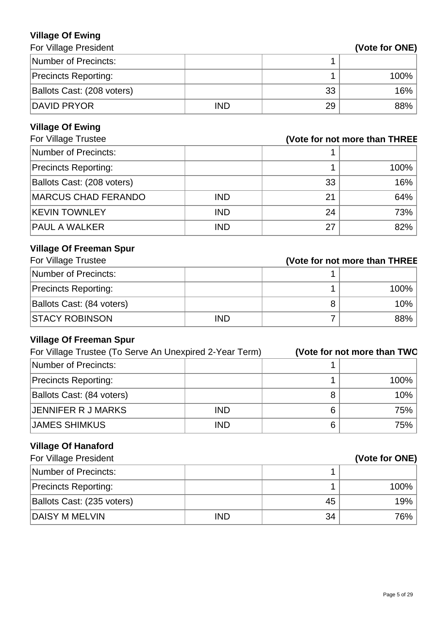#### **Village Of Ewing For Village President**

| (Vote for ONE) |  |
|----------------|--|
|----------------|--|

| Number of Precincts:        |            |    |         |
|-----------------------------|------------|----|---------|
| <b>Precincts Reporting:</b> |            |    | $100\%$ |
| Ballots Cast: (208 voters)  |            | 33 | 16%     |
| <b>DAVID PRYOR</b>          | <b>IND</b> | 29 | 88%     |

## **Village Of Ewing**

| For Village Trustee<br>(Vote for not more than THREE |            |    |      |
|------------------------------------------------------|------------|----|------|
| Number of Precincts:                                 |            |    |      |
| <b>Precincts Reporting:</b>                          |            |    | 100% |
| Ballots Cast: (208 voters)                           |            | 33 | 16%  |
| <b>MARCUS CHAD FERANDO</b>                           | <b>IND</b> | 21 | 64%  |
| <b>KEVIN TOWNLEY</b>                                 | <b>IND</b> | 24 | 73%  |
| <b>PAUL A WALKER</b>                                 | <b>IND</b> | 27 | 82%  |

## **Village Of Freeman Spur**

| For Village Trustee         |            | (Vote for not more than THREE |  |
|-----------------------------|------------|-------------------------------|--|
| Number of Precincts:        |            |                               |  |
| <b>Precincts Reporting:</b> |            | 100%                          |  |
| Ballots Cast: (84 voters)   |            | 10%                           |  |
| <b>STACY ROBINSON</b>       | <b>IND</b> | 88%                           |  |

## **Village Of Freeman Spur**

| For Village Trustee (To Serve An Unexpired 2-Year Term) |            |   | (Vote for not more than TWO |
|---------------------------------------------------------|------------|---|-----------------------------|
| Number of Precincts:                                    |            |   |                             |
| <b>Precincts Reporting:</b>                             |            |   | 100%                        |
| Ballots Cast: (84 voters)                               |            | 8 | 10%                         |
| <b>JENNIFER R J MARKS</b>                               | <b>IND</b> | 6 | 75%                         |
| <b>JAMES SHIMKUS</b>                                    | <b>IND</b> | 6 | 75%                         |

# **Village Of Hanaford**

| For Village President       |            |    | (Vote for ONE) |
|-----------------------------|------------|----|----------------|
| Number of Precincts:        |            |    |                |
| <b>Precincts Reporting:</b> |            |    | $100\%$        |
| Ballots Cast: (235 voters)  |            | 45 | 19%            |
| DAISY M MELVIN              | <b>IND</b> | 34 | 76%            |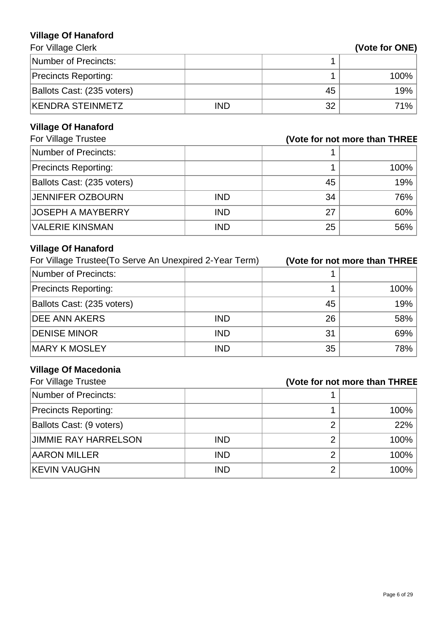#### **Village Of Hanaford For Village Clerk**

| Number of Precincts:        |            |    |         |
|-----------------------------|------------|----|---------|
| <b>Precincts Reporting:</b> |            |    | $100\%$ |
| Ballots Cast: (235 voters)  |            | 45 | 19%     |
| <b>KENDRA STEINMETZ</b>     | <b>IND</b> | 32 | 71%     |

# **Village Of Hanaford**

| For Village Trustee<br>(Vote for not more than THREE |            |    |      |
|------------------------------------------------------|------------|----|------|
| Number of Precincts:                                 |            |    |      |
| <b>Precincts Reporting:</b>                          |            |    | 100% |
| Ballots Cast: (235 voters)                           |            | 45 | 19%  |
| <b>JENNIFER OZBOURN</b>                              | <b>IND</b> | 34 | 76%  |
| <b>JOSEPH A MAYBERRY</b>                             | <b>IND</b> | 27 | 60%  |
| <b>VALERIE KINSMAN</b>                               | <b>IND</b> | 25 | 56%  |

# **Village Of Hanaford**

| For Village Trustee (To Serve An Unexpired 2-Year Term) |            |    | (Vote for not more than THREE |
|---------------------------------------------------------|------------|----|-------------------------------|
| Number of Precincts:                                    |            |    |                               |
| <b>Precincts Reporting:</b>                             |            |    | 100%                          |
| Ballots Cast: (235 voters)                              |            | 45 | 19%                           |
| <b>DEE ANN AKERS</b>                                    | <b>IND</b> | 26 | 58%                           |
| <b>DENISE MINOR</b>                                     | <b>IND</b> | 31 | 69%                           |
| <b>MARY K MOSLEY</b>                                    | <b>IND</b> | 35 | 78%                           |

# **Village Of Macedonia**

| For Village Trustee         | (Vote for not more than THREE |   |      |
|-----------------------------|-------------------------------|---|------|
| Number of Precincts:        |                               |   |      |
| <b>Precincts Reporting:</b> |                               |   | 100% |
| Ballots Cast: (9 voters)    |                               | າ | 22%  |
| <b>JIMMIE RAY HARRELSON</b> | <b>IND</b>                    |   | 100% |
| <b>AARON MILLER</b>         | <b>IND</b>                    |   | 100% |
| <b>KEVIN VAUGHN</b>         | <b>IND</b>                    | 2 | 100% |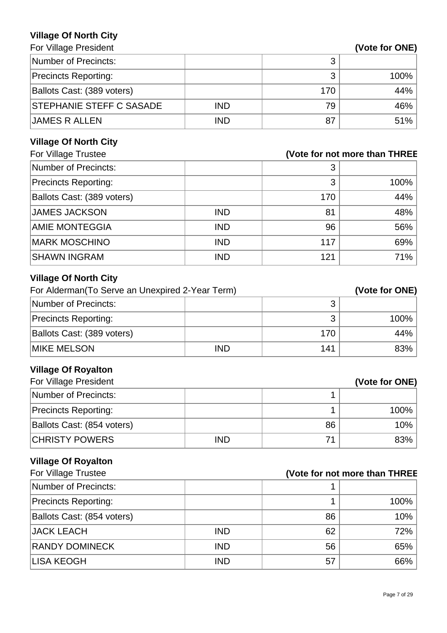### **Village Of North City**

For Village President **(Vote for ONE)** 

|                                 |            |     | .    |
|---------------------------------|------------|-----|------|
| Number of Precincts:            |            |     |      |
| <b>Precincts Reporting:</b>     |            |     | 100% |
| Ballots Cast: (389 voters)      |            | 170 | 44%  |
| <b>STEPHANIE STEFF C SASADE</b> | <b>IND</b> | 79  | 46%  |
| <b>JAMES R ALLEN</b>            | <b>IND</b> | 87  | 51%  |

# **Village Of North City**

| For Village Trustee         | (Vote for not more than THREE |     |      |
|-----------------------------|-------------------------------|-----|------|
| Number of Precincts:        |                               | 3   |      |
| <b>Precincts Reporting:</b> |                               | 3   | 100% |
| Ballots Cast: (389 voters)  |                               | 170 | 44%  |
| <b>JAMES JACKSON</b>        | <b>IND</b>                    | 81  | 48%  |
| <b>AMIE MONTEGGIA</b>       | <b>IND</b>                    | 96  | 56%  |
| <b>MARK MOSCHINO</b>        | <b>IND</b>                    | 117 | 69%  |
| <b>SHAWN INGRAM</b>         | <b>IND</b>                    | 121 | 71%  |

# **Village Of North City**

| For Alderman (To Serve an Unexpired 2-Year Term) |            |     | (Vote for ONE) |
|--------------------------------------------------|------------|-----|----------------|
| Number of Precincts:                             |            |     |                |
| <b>Precincts Reporting:</b>                      |            |     | 100%           |
| Ballots Cast: (389 voters)                       |            | 170 | 44%            |
| <b>IMIKE MELSON</b>                              | <b>IND</b> | 141 | 83%            |

# **Village Of Royalton**

| For Village President       |            |    | (Vote for ONE) |
|-----------------------------|------------|----|----------------|
| Number of Precincts:        |            |    |                |
| <b>Precincts Reporting:</b> |            |    | 100%           |
| Ballots Cast: (854 voters)  |            | 86 | 10%            |
| <b>CHRISTY POWERS</b>       | <b>IND</b> | 71 | 83%            |

# **Village Of Royalton**

| For Village Trustee         |            |    | (Vote for not more than THREE |
|-----------------------------|------------|----|-------------------------------|
| Number of Precincts:        |            |    |                               |
| <b>Precincts Reporting:</b> |            |    | 100%                          |
| Ballots Cast: (854 voters)  |            | 86 | 10%                           |
| <b>JACK LEACH</b>           | <b>IND</b> | 62 | 72%                           |
| <b>RANDY DOMINECK</b>       | <b>IND</b> | 56 | 65%                           |
| LISA KEOGH                  | <b>IND</b> | 57 | 66%                           |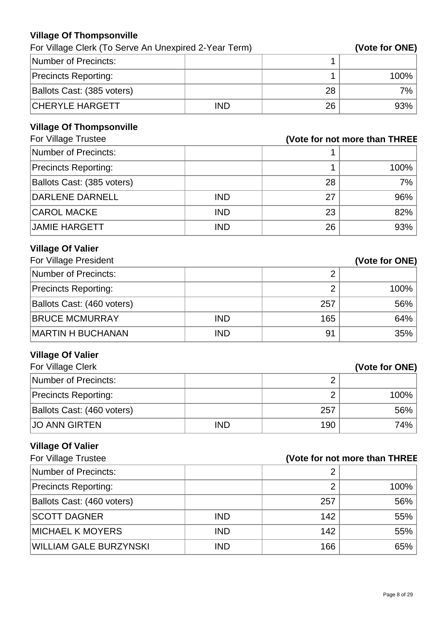### **Village Of Thompsonville**

| For Village Clerk (To Serve An Unexpired 2-Year Term) |            |    | (Vote for ONE) |
|-------------------------------------------------------|------------|----|----------------|
| Number of Precincts:                                  |            |    |                |
| <b>Precincts Reporting:</b>                           |            |    | $100\%$        |
| Ballots Cast: (385 voters)                            |            | 28 | $7\%$          |
| <b>CHERYLE HARGETT</b>                                | <b>IND</b> | 26 | 93%            |

## **Village Of Thompsonville**

| For Village Trustee         | (Vote for not more than THREE |    |      |
|-----------------------------|-------------------------------|----|------|
| Number of Precincts:        |                               |    |      |
| <b>Precincts Reporting:</b> |                               |    | 100% |
| Ballots Cast: (385 voters)  |                               | 28 | 7%   |
| DARLENE DARNELL             | <b>IND</b>                    | 27 | 96%  |
| <b>CAROL MACKE</b>          | <b>IND</b>                    | 23 | 82%  |
| JAMIE HARGETT               | <b>IND</b>                    | 26 | 93%  |

# **Village Of Valier**

| For Village President       |            |     | (Vote for ONE) |
|-----------------------------|------------|-----|----------------|
| Number of Precincts:        |            | n   |                |
| <b>Precincts Reporting:</b> |            | ⌒   | 100%           |
| Ballots Cast: (460 voters)  |            | 257 | 56%            |
| <b>BRUCE MCMURRAY</b>       | <b>IND</b> | 165 | 64%            |
| <b>MARTIN H BUCHANAN</b>    | <b>IND</b> | 91  | 35%            |

# **Village Of Valier**

| For Village Clerk           |            |     | (Vote for ONE) |
|-----------------------------|------------|-----|----------------|
| Number of Precincts:        |            |     |                |
| <b>Precincts Reporting:</b> |            |     | $100\%$        |
| Ballots Cast: (460 voters)  |            | 257 | $56\%$         |
| <b>JO ANN GIRTEN</b>        | <b>IND</b> | 190 | 74%            |

# **Village Of Valier**

| For Village Trustee<br>(Vote for not more than THREE |            |     |      |
|------------------------------------------------------|------------|-----|------|
| Number of Precincts:                                 |            | 2   |      |
| <b>Precincts Reporting:</b>                          |            | 2   | 100% |
| Ballots Cast: (460 voters)                           |            | 257 | 56%  |
| <b>SCOTT DAGNER</b>                                  | <b>IND</b> | 142 | 55%  |
| <b>MICHAEL K MOYERS</b>                              | <b>IND</b> | 142 | 55%  |
| WILLIAM GALE BURZYNSKI                               | <b>IND</b> | 166 | 65%  |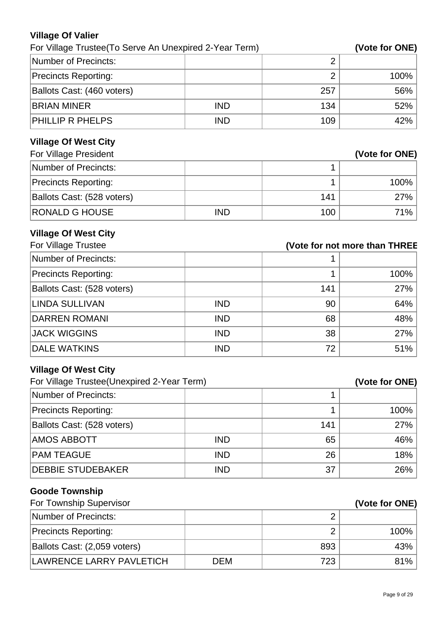### **Village Of Valier**

| For Village Trustee (To Serve An Unexpired 2-Year Term) |            |     | (Vote for ONE) |
|---------------------------------------------------------|------------|-----|----------------|
| Number of Precincts:                                    |            |     |                |
| <b>Precincts Reporting:</b>                             |            |     | $100\%$        |
| Ballots Cast: (460 voters)                              |            | 257 | $56\%$         |
| <b>BRIAN MINER</b>                                      | <b>IND</b> | 134 | $52\%$         |
| <b>PHILLIP R PHELPS</b>                                 | <b>IND</b> | 109 | 42% '          |

# **Village Of West City**

| For Village President       |            | (Vote for ONE) |         |
|-----------------------------|------------|----------------|---------|
| Number of Precincts:        |            |                |         |
| <b>Precincts Reporting:</b> |            |                | $100\%$ |
| Ballots Cast: (528 voters)  |            | 141            | 27%     |
| <b>RONALD G HOUSE</b>       | <b>IND</b> | 100            | 71%     |

## **Village Of West City**

| For Village Trustee         | (Vote for not more than THREE |     |      |
|-----------------------------|-------------------------------|-----|------|
| Number of Precincts:        |                               |     |      |
| <b>Precincts Reporting:</b> |                               |     | 100% |
| Ballots Cast: (528 voters)  |                               | 141 | 27%  |
| LINDA SULLIVAN              | <b>IND</b>                    | 90  | 64%  |
| <b>DARREN ROMANI</b>        | <b>IND</b>                    | 68  | 48%  |
| <b>JACK WIGGINS</b>         | <b>IND</b>                    | 38  | 27%  |
| <b>DALE WATKINS</b>         | <b>IND</b>                    | 72  | 51%  |

# **Village Of West City**

| For Village Trustee (Unexpired 2-Year Term) |            | (Vote for ONE) |      |
|---------------------------------------------|------------|----------------|------|
| Number of Precincts:                        |            |                |      |
| <b>Precincts Reporting:</b>                 |            |                | 100% |
| Ballots Cast: (528 voters)                  |            | 141            | 27%  |
| <b>AMOS ABBOTT</b>                          | <b>IND</b> | 65             | 46%  |
| <b>PAM TEAGUE</b>                           | <b>IND</b> | 26             | 18%  |
| <b>DEBBIE STUDEBAKER</b>                    | <b>IND</b> | 37             | 26%  |

# **Goode Township**

| For Township Supervisor      |            | (Vote for ONE) |      |
|------------------------------|------------|----------------|------|
| Number of Precincts:         |            | ◠              |      |
| <b>Precincts Reporting:</b>  |            | ◠              | 100% |
| Ballots Cast: (2,059 voters) |            | 893            | 43%  |
| LAWRENCE LARRY PAVLETICH     | <b>DEM</b> | 723            | 81%  |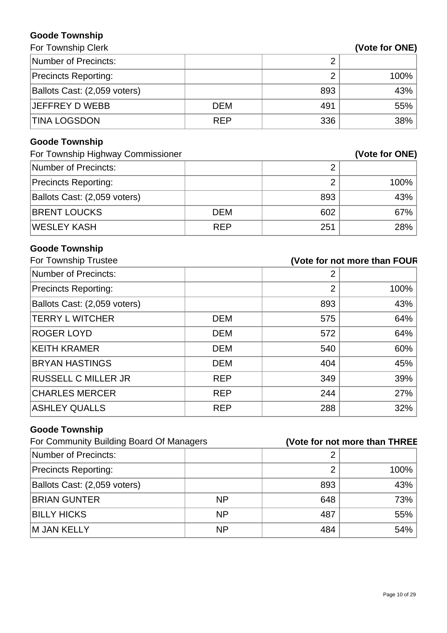### **Goode Township** For Township Clerk

| Number of Precincts:         |            |     |      |
|------------------------------|------------|-----|------|
| <b>Precincts Reporting:</b>  |            |     | 100% |
| Ballots Cast: (2,059 voters) |            | 893 | 43%  |
| <b>JEFFREY D WEBB</b>        | <b>DEM</b> | 491 | 55%  |
| <b>TINA LOGSDON</b>          | <b>REP</b> | 336 | 38%  |

# **Goode Township**

| For Township Highway Commissioner |            | (Vote for ONE) |         |
|-----------------------------------|------------|----------------|---------|
| Number of Precincts:              |            |                |         |
| <b>Precincts Reporting:</b>       |            | റ              | $100\%$ |
| Ballots Cast: (2,059 voters)      |            | 893            | 43%     |
| <b>BRENT LOUCKS</b>               | <b>DEM</b> | 602            | $67\%$  |
| WESLEY KASH                       | <b>REP</b> | 251            | 28%     |

# **Goode Township**

| For Township Trustee         |            | (Vote for not more than FOUR |      |
|------------------------------|------------|------------------------------|------|
| Number of Precincts:         |            | 2                            |      |
| <b>Precincts Reporting:</b>  |            | $\overline{2}$               | 100% |
| Ballots Cast: (2,059 voters) |            | 893                          | 43%  |
| <b>TERRY L WITCHER</b>       | <b>DEM</b> | 575                          | 64%  |
| <b>ROGER LOYD</b>            | <b>DEM</b> | 572                          | 64%  |
| <b>KEITH KRAMER</b>          | <b>DEM</b> | 540                          | 60%  |
| <b>BRYAN HASTINGS</b>        | <b>DEM</b> | 404                          | 45%  |
| <b>RUSSELL C MILLER JR</b>   | <b>REP</b> | 349                          | 39%  |
| <b>CHARLES MERCER</b>        | <b>REP</b> | 244                          | 27%  |
| ASHLEY QUALLS                | <b>REP</b> | 288                          | 32%  |

# **Goode Township**

| For Community Building Board Of Managers |           |     | (Vote for not more than THREE |
|------------------------------------------|-----------|-----|-------------------------------|
| Number of Precincts:                     |           |     |                               |
| <b>Precincts Reporting:</b>              |           |     | 100%                          |
| Ballots Cast: (2,059 voters)             |           | 893 | 43%                           |
| <b>BRIAN GUNTER</b>                      | <b>NP</b> | 648 | 73%                           |
| <b>BILLY HICKS</b>                       | <b>NP</b> | 487 | 55%                           |
| M JAN KELLY                              | <b>NP</b> | 484 | 54%                           |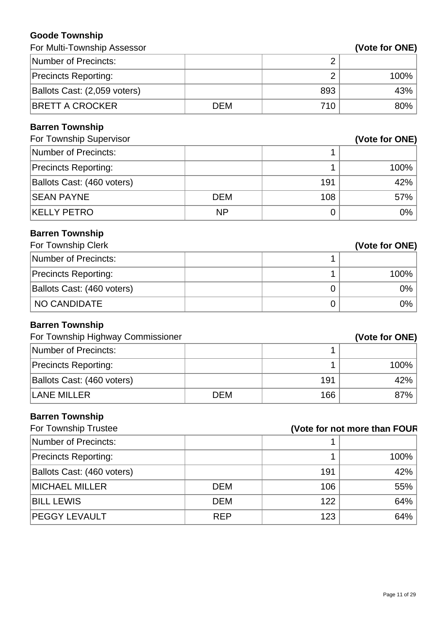#### **Goode Township**

| For Multi-Township Assessor       |            |                              | (Vote for ONE) |
|-----------------------------------|------------|------------------------------|----------------|
| <b>Number of Precincts:</b>       |            | $\overline{2}$               |                |
| <b>Precincts Reporting:</b>       |            | $\overline{2}$               | 100%           |
| Ballots Cast: (2,059 voters)      |            | 893                          | 43%            |
| <b>BRETT A CROCKER</b>            | <b>DEM</b> | 710                          | 80%            |
| <b>Barren Township</b>            |            |                              |                |
| For Township Supervisor           |            |                              | (Vote for ONE) |
| <b>Number of Precincts:</b>       |            | 1                            |                |
| <b>Precincts Reporting:</b>       |            | 1                            | 100%           |
| Ballots Cast: (460 voters)        |            | 191                          | 42%            |
| <b>SEAN PAYNE</b>                 | <b>DEM</b> | 108                          | 57%            |
| <b>KELLY PETRO</b>                | <b>NP</b>  | 0                            | 0%             |
| <b>Barren Township</b>            |            |                              |                |
| For Township Clerk                |            |                              | (Vote for ONE) |
| <b>Number of Precincts:</b>       |            | 1                            |                |
| <b>Precincts Reporting:</b>       |            | 1                            | 100%           |
| Ballots Cast: (460 voters)        |            | $\mathbf 0$                  | 0%             |
| <b>NO CANDIDATE</b>               |            | 0                            | 0%             |
| <b>Barren Township</b>            |            |                              |                |
| For Township Highway Commissioner |            |                              | (Vote for ONE) |
| <b>Number of Precincts:</b>       |            | 1                            |                |
| <b>Precincts Reporting:</b>       |            | 1                            | 100%           |
| Ballots Cast: (460 voters)        |            | 191                          | 42%            |
| <b>LANE MILLER</b>                | <b>DEM</b> | 166                          | 87%            |
| <b>Barren Township</b>            |            |                              |                |
| For Township Trustee              |            | (Vote for not more than FOUR |                |
| <b>Number of Precincts:</b>       |            | 1                            |                |
| <b>Precincts Reporting:</b>       |            | 1                            | 100%           |
| Ballots Cast: (460 voters)        |            | 191                          | 42%            |
| <b>MICHAEL MILLER</b>             | <b>DEM</b> | 106                          | 55%            |
| <b>BILL LEWIS</b>                 | <b>DEM</b> | 122                          | 64%            |
| PEGGY LEVAULT                     | <b>REP</b> | 123                          | 64%            |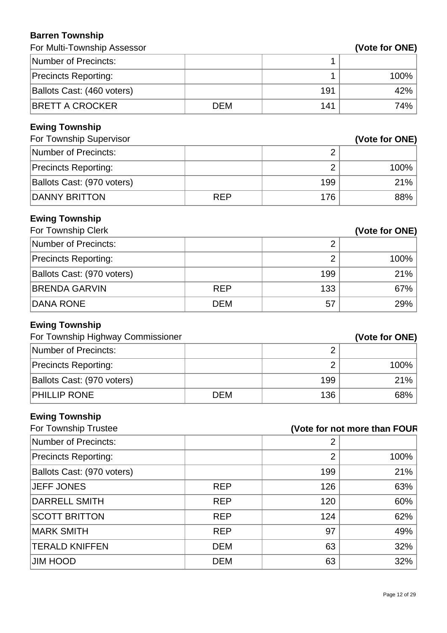### **Barren Township**

| For Multi-Township Assessor                                |            |                              | (Vote for ONE) |
|------------------------------------------------------------|------------|------------------------------|----------------|
| <b>Number of Precincts:</b>                                |            | 1                            |                |
| <b>Precincts Reporting:</b>                                |            | 1                            | 100%           |
| Ballots Cast: (460 voters)                                 |            | 191                          | 42%            |
| <b>BRETT A CROCKER</b>                                     | <b>DEM</b> | 141                          | 74%            |
| <b>Ewing Township</b><br>For Township Supervisor           |            |                              | (Vote for ONE) |
| <b>Number of Precincts:</b>                                |            | $\overline{2}$               |                |
| <b>Precincts Reporting:</b>                                |            | $\overline{2}$               | 100%           |
| Ballots Cast: (970 voters)                                 |            | 199                          | 21%            |
| <b>DANNY BRITTON</b>                                       | <b>REP</b> | 176                          | 88%            |
| <b>Ewing Township</b><br>For Township Clerk                |            |                              | (Vote for ONE) |
| <b>Number of Precincts:</b>                                |            | $\overline{2}$               |                |
| <b>Precincts Reporting:</b>                                |            | $\overline{2}$               | 100%           |
| Ballots Cast: (970 voters)                                 |            | 199                          | 21%            |
| <b>BRENDA GARVIN</b>                                       | <b>REP</b> | 133                          | 67%            |
| <b>DANA RONE</b>                                           | <b>DEM</b> | 57                           | 29%            |
| <b>Ewing Township</b><br>For Township Highway Commissioner |            |                              | (Vote for ONE) |
| <b>Number of Precincts:</b>                                |            | $\overline{2}$               |                |
| <b>Precincts Reporting:</b>                                |            | $\overline{2}$               | 100%           |
| Ballots Cast: (970 voters)                                 |            | 199                          | 21%            |
| PHILLIP RONE                                               | <b>DEM</b> | 136                          | 68%            |
| <b>Ewing Township</b><br>For Township Trustee              |            | (Vote for not more than FOUR |                |
| <b>Number of Precincts:</b>                                |            | 2                            |                |
| <b>Precincts Reporting:</b>                                |            | $\overline{2}$               | 100%           |
| Ballots Cast: (970 voters)                                 |            | 199                          | 21%            |
| <b>JEFF JONES</b>                                          | <b>REP</b> | 126                          | 63%            |
| <b>DARRELL SMITH</b>                                       | <b>REP</b> | 120                          | 60%            |
| <b>SCOTT BRITTON</b>                                       | <b>REP</b> | 124                          | 62%            |
| <b>MARK SMITH</b>                                          | <b>REP</b> | 97                           | 49%            |
| <b>TERALD KNIFFEN</b>                                      | <b>DEM</b> | 63                           | 32%            |
| JIM HOOD                                                   | <b>DEM</b> | 63                           | 32%            |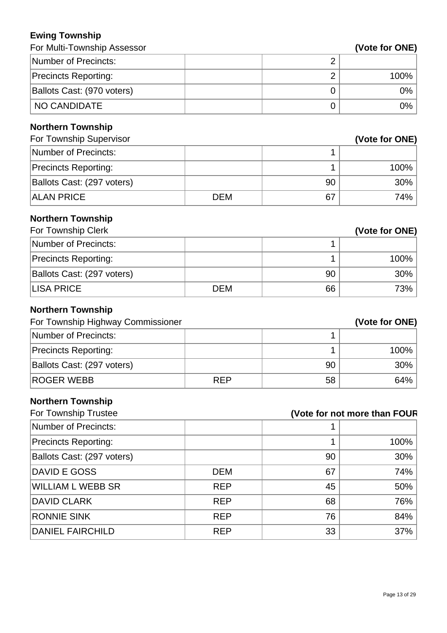### **Ewing Township**

| Ewing Township                                                |            |                |                              |
|---------------------------------------------------------------|------------|----------------|------------------------------|
| For Multi-Township Assessor                                   |            |                | (Vote for ONE)               |
| <b>Number of Precincts:</b>                                   |            | $\overline{2}$ |                              |
| <b>Precincts Reporting:</b>                                   |            | $\overline{2}$ | 100%                         |
| Ballots Cast: (970 voters)                                    |            | $\overline{0}$ | 0%                           |
| <b>NO CANDIDATE</b>                                           |            | 0              | 0%                           |
| <b>Northern Township</b>                                      |            |                |                              |
| For Township Supervisor                                       |            |                | (Vote for ONE)               |
| <b>Number of Precincts:</b>                                   |            | 1              |                              |
| <b>Precincts Reporting:</b>                                   |            | 1              | 100%                         |
| Ballots Cast: (297 voters)                                    |            | 90             | 30%                          |
| <b>ALAN PRICE</b>                                             | <b>DEM</b> | 67             | 74%                          |
| <b>Northern Township</b><br>For Township Clerk                |            |                | (Vote for ONE)               |
| <b>Number of Precincts:</b>                                   |            | 1              |                              |
| <b>Precincts Reporting:</b>                                   |            | 1              | 100%                         |
| Ballots Cast: (297 voters)                                    |            | 90             | 30%                          |
| <b>LISA PRICE</b>                                             | <b>DEM</b> | 66             | 73%                          |
| <b>Northern Township</b><br>For Township Highway Commissioner |            |                | (Vote for ONE)               |
| <b>Number of Precincts:</b>                                   |            | 1              |                              |
| <b>Precincts Reporting:</b>                                   |            | 1              | 100%                         |
| Ballots Cast: (297 voters)                                    |            | 90             | 30%                          |
| <b>ROGER WEBB</b>                                             | <b>REP</b> | 58             | 64%                          |
| <b>Northern Township</b><br>For Township Trustee              |            |                | (Vote for not more than FOUR |
| <b>Number of Precincts:</b>                                   |            | 1              |                              |
| <b>Precincts Reporting:</b>                                   |            |                | 100%                         |

| <b>Precincts Reporting:</b> |            |    | 100% |
|-----------------------------|------------|----|------|
| Ballots Cast: (297 voters)  |            | 90 | 30%  |
| DAVID E GOSS                | <b>DEM</b> | 67 | 74%  |
| <b>WILLIAM L WEBB SR</b>    | <b>REP</b> | 45 | 50%  |
| <b>DAVID CLARK</b>          | <b>REP</b> | 68 | 76%  |
| <b>RONNIE SINK</b>          | <b>REP</b> | 76 | 84%  |
| <b>DANIEL FAIRCHILD</b>     | <b>REP</b> | 33 | 37%  |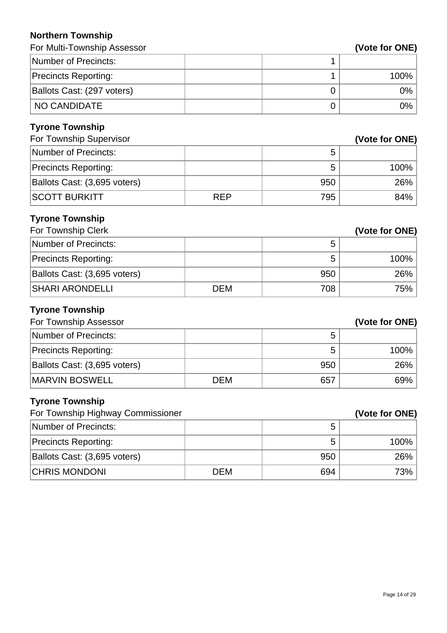#### **Northern Township**

| For Multi-Township Assessor       |            |                | (Vote for ONE) |
|-----------------------------------|------------|----------------|----------------|
| <b>Number of Precincts:</b>       |            | 1              |                |
| <b>Precincts Reporting:</b>       |            | 1              | 100%           |
| Ballots Cast: (297 voters)        |            | $\mathbf 0$    | 0%             |
| <b>NO CANDIDATE</b>               |            | $\overline{0}$ | 0%             |
| <b>Tyrone Township</b>            |            |                |                |
| For Township Supervisor           |            |                | (Vote for ONE) |
| <b>Number of Precincts:</b>       |            | 5              |                |
| <b>Precincts Reporting:</b>       |            | 5              | 100%           |
| Ballots Cast: (3,695 voters)      |            | 950            | 26%            |
| <b>SCOTT BURKITT</b>              | <b>REP</b> | 795            | 84%            |
| <b>Tyrone Township</b>            |            |                |                |
| For Township Clerk                |            |                | (Vote for ONE) |
| <b>Number of Precincts:</b>       |            | 5              |                |
| <b>Precincts Reporting:</b>       |            | 5              | 100%           |
| Ballots Cast: (3,695 voters)      |            | 950            | 26%            |
| <b>SHARI ARONDELLI</b>            | <b>DEM</b> | 708            | 75%            |
| <b>Tyrone Township</b>            |            |                |                |
| For Township Assessor             |            |                | (Vote for ONE) |
| <b>Number of Precincts:</b>       |            | 5              |                |
| <b>Precincts Reporting:</b>       |            | 5              | 100%           |
| Ballots Cast: (3,695 voters)      |            | 950            | 26%            |
| <b>MARVIN BOSWELL</b>             | <b>DEM</b> | 657            | 69%            |
| <b>Tyrone Township</b>            |            |                |                |
| For Township Highway Commissioner |            |                | (Vote for ONE) |
| <b>Number of Precincts:</b>       |            | 5              |                |
| <b>Precincts Reporting:</b>       |            | 5              | 100%           |
| Ballots Cast: (3,695 voters)      |            | 950            | 26%            |
| <b>CHRIS MONDONI</b>              | <b>DEM</b> | 694            | 73%            |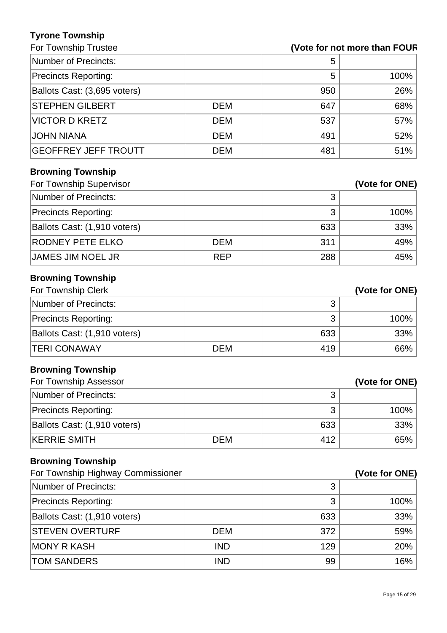### **Tyrone Township**

# For Township Trustee **(Vote for not more than FOUR)**

| Number of Precincts:         |            | 5   |        |
|------------------------------|------------|-----|--------|
| <b>Precincts Reporting:</b>  |            | 5   | 100%   |
| Ballots Cast: (3,695 voters) |            | 950 | 26%    |
| <b>STEPHEN GILBERT</b>       | <b>DEM</b> | 647 | 68%    |
| <b>VICTOR D KRETZ</b>        | <b>DEM</b> | 537 | $57\%$ |
| <b>JOHN NIANA</b>            | <b>DEM</b> | 491 | $52\%$ |
| <b>GEOFFREY JEFF TROUTT</b>  | <b>DEM</b> | 481 | 51%    |

## **Browning Township**

| For Township Supervisor      |            |     | (Vote for ONE) |
|------------------------------|------------|-----|----------------|
| Number of Precincts:         |            | 3   |                |
| <b>Precincts Reporting:</b>  |            | 3   | 100%           |
| Ballots Cast: (1,910 voters) |            | 633 | 33%            |
| <b>RODNEY PETE ELKO</b>      | <b>DEM</b> | 311 | 49%            |
| <b>JAMES JIM NOEL JR</b>     | <b>REP</b> | 288 | 45%            |

## **Browning Township**

| For Township Clerk           |            |     | (Vote for ONE) |
|------------------------------|------------|-----|----------------|
| Number of Precincts:         |            |     |                |
| Precincts Reporting:         |            |     | 100%           |
| Ballots Cast: (1,910 voters) |            | 633 | 33%            |
| <b>ITERI CONAWAY</b>         | <b>DEM</b> | 419 | 66%            |

## **Browning Township**

| For Township Assessor        |            |     | (Vote for ONE) |
|------------------------------|------------|-----|----------------|
| Number of Precincts:         |            |     |                |
| <b>Precincts Reporting:</b>  |            |     | 100%           |
| Ballots Cast: (1,910 voters) |            | 633 | 33%            |
| <b>KERRIE SMITH</b>          | <b>DEM</b> | 412 | 65%            |

## **Browning Township**

| For Township Highway Commissioner |            | (Vote for ONE) |      |
|-----------------------------------|------------|----------------|------|
| Number of Precincts:              |            | 3              |      |
| <b>Precincts Reporting:</b>       |            | 3              | 100% |
| Ballots Cast: (1,910 voters)      |            | 633            | 33%  |
| <b>STEVEN OVERTURF</b>            | <b>DEM</b> | 372            | 59%  |
| <b>MONY R KASH</b>                | <b>IND</b> | 129            | 20%  |
| <b>TOM SANDERS</b>                | <b>IND</b> | 99             | 16%  |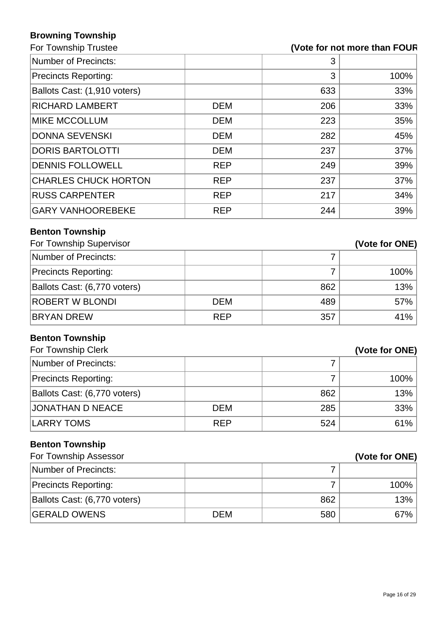## **Browning Township**

## For Township Trustee **and Trustee and Trustee and Trustee and Trustee and Trustee and Trustee and Trustee and Trustee and Trustee and Trustee and Trustee and Trustee and Trustee and Trustee and Trustee and Trustee and Trus**

| Number of Precincts:         |            | 3   |      |
|------------------------------|------------|-----|------|
| Precincts Reporting:         |            | 3   | 100% |
| Ballots Cast: (1,910 voters) |            | 633 | 33%  |
| <b>RICHARD LAMBERT</b>       | <b>DEM</b> | 206 | 33%  |
| <b>MIKE MCCOLLUM</b>         | <b>DEM</b> | 223 | 35%  |
| <b>DONNA SEVENSKI</b>        | <b>DEM</b> | 282 | 45%  |
| <b>DORIS BARTOLOTTI</b>      | <b>DEM</b> | 237 | 37%  |
| <b>DENNIS FOLLOWELL</b>      | <b>REP</b> | 249 | 39%  |
| <b>CHARLES CHUCK HORTON</b>  | <b>REP</b> | 237 | 37%  |
| <b>RUSS CARPENTER</b>        | <b>REP</b> | 217 | 34%  |
| <b>GARY VANHOOREBEKE</b>     | <b>REP</b> | 244 | 39%  |
|                              |            |     |      |

## **Benton Township**

| For Township Supervisor      |            |     | (Vote for ONE) |
|------------------------------|------------|-----|----------------|
| Number of Precincts:         |            |     |                |
| <b>Precincts Reporting:</b>  |            |     | 100%           |
| Ballots Cast: (6,770 voters) |            | 862 | 13%            |
| <b>ROBERT W BLONDI</b>       | <b>DEM</b> | 489 | 57%            |
| <b>BRYAN DREW</b>            | <b>REP</b> | 357 | $41\%$         |

# **Benton Township**

| For Township Clerk           |            |     | (Vote for ONE) |
|------------------------------|------------|-----|----------------|
| Number of Precincts:         |            |     |                |
| <b>Precincts Reporting:</b>  |            |     | 100%           |
| Ballots Cast: (6,770 voters) |            | 862 | 13%            |
| <b>JONATHAN D NEACE</b>      | DEM        | 285 | 33%            |
| LARRY TOMS                   | <b>REP</b> | 524 | 61%            |

# **Benton Township**

| For Township Assessor        |            |     | (Vote for ONE) |
|------------------------------|------------|-----|----------------|
| Number of Precincts:         |            |     |                |
| <b>Precincts Reporting:</b>  |            |     | 100%           |
| Ballots Cast: (6,770 voters) |            | 862 | $13\%$         |
| <b>GERALD OWENS</b>          | <b>DEM</b> | 580 | 67% '          |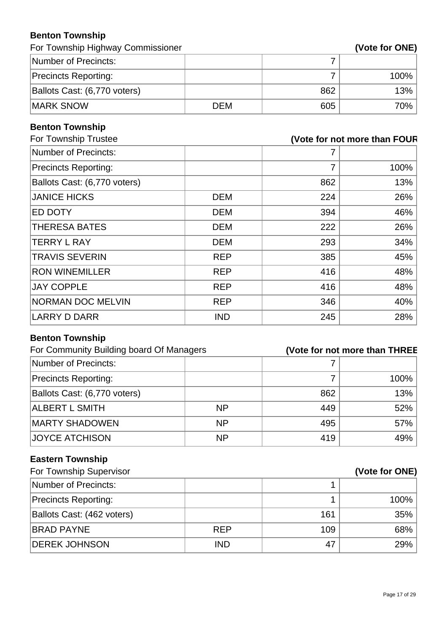### **Benton Township**

For Township Highway Commissioner **(Vote for ONE)** 

| Number of Precincts:         |     |     |      |
|------------------------------|-----|-----|------|
| <b>Precincts Reporting:</b>  |     |     | 100% |
| Ballots Cast: (6,770 voters) |     | 862 | 13%  |
| <b>IMARK SNOW</b>            | DEM | 605 | 70%  |

## **Benton Township**

| For Township Trustee |     | (Vote for not more than FOUR |
|----------------------|-----|------------------------------|
|                      |     |                              |
|                      | 7   | 100%                         |
|                      | 862 | 13%                          |
| <b>DEM</b>           | 224 | 26%                          |
| <b>DEM</b>           | 394 | 46%                          |
| <b>DEM</b>           | 222 | 26%                          |
| <b>DEM</b>           | 293 | 34%                          |
| <b>REP</b>           | 385 | 45%                          |
| <b>REP</b>           | 416 | 48%                          |
| <b>REP</b>           | 416 | 48%                          |
| <b>REP</b>           | 346 | 40%                          |
| <b>IND</b>           | 245 | 28%                          |
|                      |     |                              |

## **Benton Township**

| For Community Building board Of Managers |           |     | (Vote for not more than THREE |
|------------------------------------------|-----------|-----|-------------------------------|
| Number of Precincts:                     |           |     |                               |
| <b>Precincts Reporting:</b>              |           |     | 100%                          |
| Ballots Cast: (6,770 voters)             |           | 862 | 13%                           |
| <b>ALBERT L SMITH</b>                    | <b>NP</b> | 449 | 52%                           |
| <b>MARTY SHADOWEN</b>                    | <b>NP</b> | 495 | 57%                           |
| <b>JOYCE ATCHISON</b>                    | <b>NP</b> | 419 | 49%                           |

# **Eastern Township**

| For Township Supervisor     |            |     | (Vote for ONE) |  |
|-----------------------------|------------|-----|----------------|--|
| Number of Precincts:        |            |     |                |  |
| <b>Precincts Reporting:</b> |            |     | 100%           |  |
| Ballots Cast: (462 voters)  |            | 161 | 35%            |  |
| <b>BRAD PAYNE</b>           | <b>REP</b> | 109 | 68%            |  |
| <b>DEREK JOHNSON</b>        | <b>IND</b> | 47  | 29%            |  |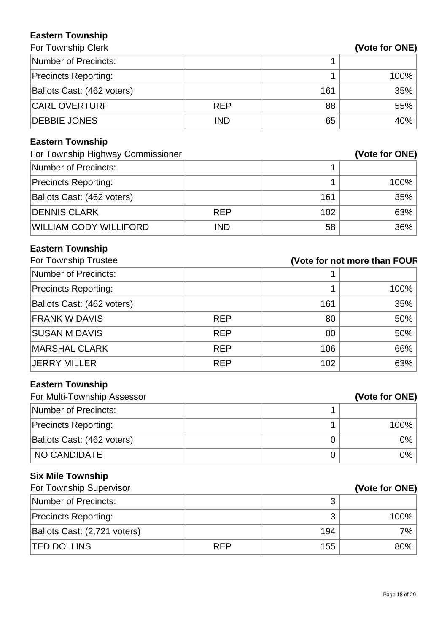#### **Eastern Township For Township Clerk**

| Number of Precincts:        |            |     |        |
|-----------------------------|------------|-----|--------|
| <b>Precincts Reporting:</b> |            |     | 100%   |
| Ballots Cast: (462 voters)  |            | 161 | 35%    |
| <b>CARL OVERTURF</b>        | <b>REP</b> | 88  | 55%    |
| <b>DEBBIE JONES</b>         | <b>IND</b> | 65  | $40\%$ |

# **Eastern Township**

| For Township Highway Commissioner |            | (Vote for ONE) |         |
|-----------------------------------|------------|----------------|---------|
| Number of Precincts:              |            |                |         |
| <b>Precincts Reporting:</b>       |            |                | $100\%$ |
| Ballots Cast: (462 voters)        |            | 161            | $35\%$  |
| <b>DENNIS CLARK</b>               | <b>REP</b> | 102            | 63%     |
| <b>WILLIAM CODY WILLIFORD</b>     | <b>IND</b> | 58             | $36\%$  |

# **Eastern Township**

| For Township Trustee        | (Vote for not more than FOUR |     |      |
|-----------------------------|------------------------------|-----|------|
| Number of Precincts:        |                              |     |      |
| <b>Precincts Reporting:</b> |                              |     | 100% |
| Ballots Cast: (462 voters)  |                              | 161 | 35%  |
| <b>FRANK W DAVIS</b>        | <b>REP</b>                   | 80  | 50%  |
| <b>SUSAN M DAVIS</b>        | <b>REP</b>                   | 80  | 50%  |
| <b>MARSHAL CLARK</b>        | <b>REP</b>                   | 106 | 66%  |
| <b>JERRY MILLER</b>         | <b>REP</b>                   | 102 | 63%  |

# **Eastern Township**

| For Multi-Township Assessor | (Vote for ONE) |  |
|-----------------------------|----------------|--|
| Number of Precincts:        |                |  |
| <b>Precincts Reporting:</b> | 100%           |  |
| Ballots Cast: (462 voters)  | 0%             |  |
| NO CANDIDATE                | 0%             |  |

## **Six Mile Township**

| For Township Supervisor      |            |     | (Vote for ONE) |  |
|------------------------------|------------|-----|----------------|--|
| Number of Precincts:         |            | າ   |                |  |
| <b>Precincts Reporting:</b>  |            | ว   | 100%           |  |
| Ballots Cast: (2,721 voters) |            | 194 | 7%             |  |
| <b>ITED DOLLINS</b>          | <b>REP</b> | 155 | 80%            |  |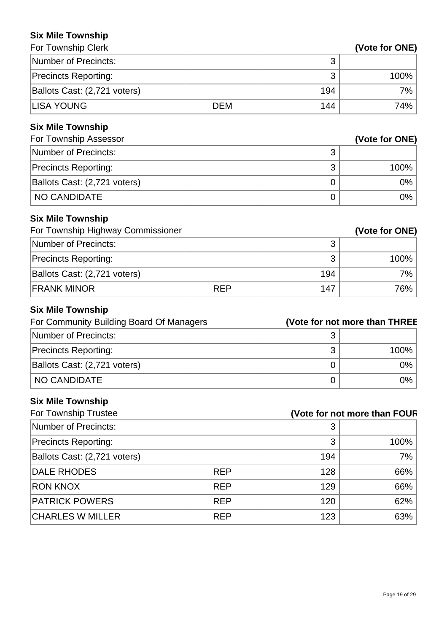#### **Six Mile Township**

| For Township Clerk                       |            |                               | (Vote for ONE) |
|------------------------------------------|------------|-------------------------------|----------------|
| <b>Number of Precincts:</b>              |            | 3                             |                |
| <b>Precincts Reporting:</b>              |            | 3                             | 100%           |
| Ballots Cast: (2,721 voters)             |            | 194                           | 7%             |
| <b>LISA YOUNG</b>                        | <b>DEM</b> | 144                           | 74%            |
| <b>Six Mile Township</b>                 |            |                               |                |
| For Township Assessor                    |            |                               | (Vote for ONE) |
| <b>Number of Precincts:</b>              |            | 3                             |                |
| <b>Precincts Reporting:</b>              |            | 3                             | 100%           |
| Ballots Cast: (2,721 voters)             |            | $\mathbf 0$                   | 0%             |
| <b>NO CANDIDATE</b>                      |            | $\mathbf 0$                   | 0%             |
| <b>Six Mile Township</b>                 |            |                               |                |
| For Township Highway Commissioner        |            |                               | (Vote for ONE) |
| <b>Number of Precincts:</b>              |            | 3                             |                |
| <b>Precincts Reporting:</b>              |            | 3                             | 100%           |
| Ballots Cast: (2,721 voters)             |            | 194                           | 7%             |
| <b>FRANK MINOR</b>                       | <b>REP</b> | 147                           | 76%            |
| <b>Six Mile Township</b>                 |            |                               |                |
| For Community Building Board Of Managers |            | (Vote for not more than THREE |                |
| <b>Number of Precincts:</b>              |            | 3                             |                |
| <b>Precincts Reporting:</b>              |            | 3                             | 100%           |
| Ballots Cast: (2,721 voters)             |            | $\overline{0}$                | 0%             |
| <b>NO CANDIDATE</b>                      |            | $\mathbf 0$                   | 0%             |
| <b>Six Mile Township</b>                 |            |                               |                |

| For Township Trustee         | (Vote for not more than FOUR |     |      |
|------------------------------|------------------------------|-----|------|
| Number of Precincts:         |                              | 3   |      |
| <b>Precincts Reporting:</b>  |                              | 3   | 100% |
| Ballots Cast: (2,721 voters) |                              | 194 | 7%   |
| <b>DALE RHODES</b>           | <b>REP</b>                   | 128 | 66%  |
| <b>RON KNOX</b>              | <b>REP</b>                   | 129 | 66%  |
| <b>PATRICK POWERS</b>        | <b>REP</b>                   | 120 | 62%  |
| <b>CHARLES W MILLER</b>      | <b>REP</b>                   | 123 | 63%  |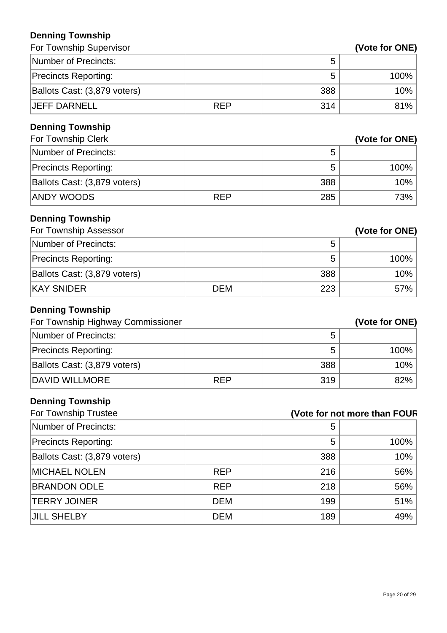### **Denning Township**

| ранный тампэній<br>For Township Supervisor      |            |     | (Vote for ONE)               |
|-------------------------------------------------|------------|-----|------------------------------|
| <b>Number of Precincts:</b>                     |            | 5   |                              |
|                                                 |            | 5   | 100%                         |
| <b>Precincts Reporting:</b>                     |            |     |                              |
| Ballots Cast: (3,879 voters)                    |            | 388 | 10%                          |
| <b>JEFF DARNELL</b>                             | <b>REP</b> | 314 | 81%                          |
| <b>Denning Township</b>                         |            |     |                              |
| For Township Clerk                              |            |     | (Vote for ONE)               |
| <b>Number of Precincts:</b>                     |            | 5   |                              |
| <b>Precincts Reporting:</b>                     |            | 5   | 100%                         |
| Ballots Cast: (3,879 voters)                    |            | 388 | 10%                          |
| <b>ANDY WOODS</b>                               | <b>REP</b> | 285 | 73%                          |
| <b>Denning Township</b>                         |            |     |                              |
| For Township Assessor                           |            |     | (Vote for ONE)               |
| <b>Number of Precincts:</b>                     |            | 5   |                              |
| <b>Precincts Reporting:</b>                     |            | 5   | 100%                         |
| Ballots Cast: (3,879 voters)                    |            | 388 | 10%                          |
| <b>KAY SNIDER</b>                               | <b>DEM</b> | 223 | 57%                          |
| <b>Denning Township</b>                         |            |     |                              |
| For Township Highway Commissioner               |            |     | (Vote for ONE)               |
| <b>Number of Precincts:</b>                     |            | 5   |                              |
| <b>Precincts Reporting:</b>                     |            | 5   | 100%                         |
| Ballots Cast: (3,879 voters)                    |            | 388 | 10%                          |
| <b>DAVID WILLMORE</b>                           | <b>REP</b> | 319 | 82%                          |
|                                                 |            |     |                              |
| <b>Denning Township</b><br>For Township Trustee |            |     | (Vote for not more than FOUR |
| Number of Precincts:                            |            | 5   |                              |
|                                                 |            | 5   | 100%                         |
| <b>Precincts Reporting:</b>                     |            |     |                              |
| Ballots Cast: (3,879 voters)                    |            | 388 | 10%                          |
| <b>MICHAEL NOLEN</b>                            | <b>REP</b> | 216 | 56%                          |

BRANDON ODLE REP 218 36% TERRY JOINER DEM DEM 199 51%

JILL SHELBY DEM 189 49%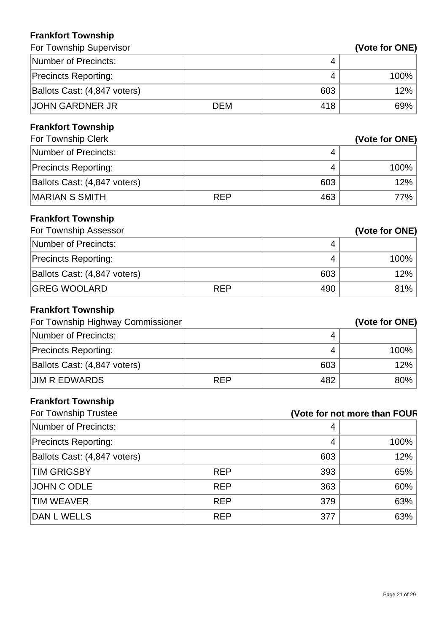### **Frankfort Township**

| I I AIINIVIL I VWIISIIIP          |            |                              |                |
|-----------------------------------|------------|------------------------------|----------------|
| For Township Supervisor           |            |                              | (Vote for ONE) |
| <b>Number of Precincts:</b>       |            | 4                            |                |
| <b>Precincts Reporting:</b>       |            | 4                            | 100%           |
| Ballots Cast: (4,847 voters)      |            | 603                          | 12%            |
| <b>JOHN GARDNER JR</b>            | <b>DEM</b> | 418                          | 69%            |
| <b>Frankfort Township</b>         |            |                              |                |
| For Township Clerk                |            |                              | (Vote for ONE) |
| <b>Number of Precincts:</b>       |            | 4                            |                |
| <b>Precincts Reporting:</b>       |            | 4                            | 100%           |
| Ballots Cast: (4,847 voters)      |            | 603                          | 12%            |
| <b>MARIAN S SMITH</b>             | <b>REP</b> | 463                          | 77%            |
| <b>Frankfort Township</b>         |            |                              |                |
| For Township Assessor             |            |                              | (Vote for ONE) |
| <b>Number of Precincts:</b>       |            | 4                            |                |
| <b>Precincts Reporting:</b>       |            | $\overline{4}$               | 100%           |
| Ballots Cast: (4,847 voters)      |            | 603                          | 12%            |
| <b>GREG WOOLARD</b>               | <b>REP</b> | 490                          | 81%            |
| <b>Frankfort Township</b>         |            |                              |                |
| For Township Highway Commissioner |            |                              | (Vote for ONE) |
| <b>Number of Precincts:</b>       |            | 4                            |                |
| <b>Precincts Reporting:</b>       |            | 4                            | 100%           |
| Ballots Cast: (4,847 voters)      |            | 603                          | 12%            |
| <b>JIM R EDWARDS</b>              | <b>REP</b> | 482                          | 80%            |
| <b>Frankfort Township</b>         |            |                              |                |
| For Township Trustee              |            | (Vote for not more than FOUR |                |
| <b>Number of Precincts:</b>       |            | 4                            |                |
| <b>Precincts Reporting:</b>       |            | $\overline{4}$               | 100%           |
| Ballots Cast: (4,847 voters)      |            | 603                          | 12%            |
| <b>TIM GRIGSBY</b>                | <b>REP</b> | 393                          | 65%            |
| <b>JOHN C ODLE</b>                | <b>REP</b> | 363                          | 60%            |

TIM WEAVER **REP** 83%

 $\vert$ DAN L WELLS  $\vert$  REP  $\vert$  377  $\vert$  63%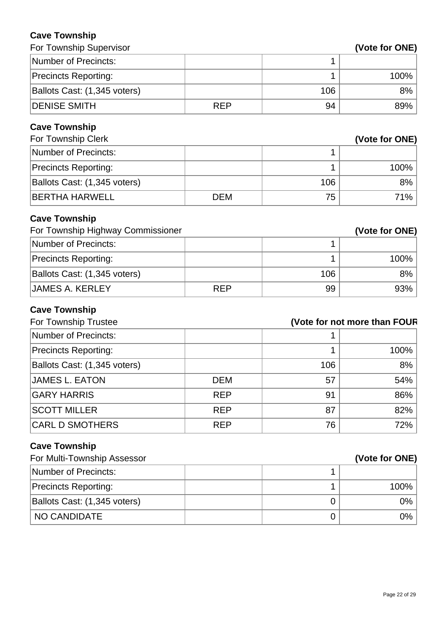### **Cave Township**

| For Township Supervisor           |            |                              | (Vote for ONE) |
|-----------------------------------|------------|------------------------------|----------------|
| <b>Number of Precincts:</b>       |            | 1                            |                |
| <b>Precincts Reporting:</b>       |            | 1                            | 100%           |
| Ballots Cast: (1,345 voters)      |            | 106                          | 8%             |
| <b>DENISE SMITH</b>               | <b>REP</b> | 94                           | 89%            |
| <b>Cave Township</b>              |            |                              |                |
| For Township Clerk                |            |                              | (Vote for ONE) |
| <b>Number of Precincts:</b>       |            | 1                            |                |
| <b>Precincts Reporting:</b>       |            | 1                            | 100%           |
| Ballots Cast: (1,345 voters)      |            | 106                          | 8%             |
| <b>BERTHA HARWELL</b>             | <b>DEM</b> | 75                           | 71%            |
| <b>Cave Township</b>              |            |                              |                |
| For Township Highway Commissioner |            |                              | (Vote for ONE) |
| <b>Number of Precincts:</b>       |            | 1                            |                |
| <b>Precincts Reporting:</b>       |            | 1                            | 100%           |
| Ballots Cast: (1,345 voters)      |            | 106                          | 8%             |
| <b>JAMES A. KERLEY</b>            | <b>REP</b> | 99                           | 93%            |
| <b>Cave Township</b>              |            |                              |                |
| For Township Trustee              |            | (Vote for not more than FOUR |                |
| <b>Number of Precincts:</b>       |            |                              |                |
| <b>Precincts Reporting:</b>       |            | 1                            | 100%           |
| Ballots Cast: (1,345 voters)      |            | 106                          | 8%             |
| <b>JAMES L. EATON</b>             | <b>DEM</b> | 57                           | 54%            |
| <b>GARY HARRIS</b>                | <b>REP</b> | 91                           | 86%            |
| <b>SCOTT MILLER</b>               | <b>REP</b> | 87                           | 82%            |
| <b>CARL D SMOTHERS</b>            | <b>REP</b> | 76                           | 72%            |
| <b>Cave Township</b>              |            |                              |                |
| For Multi-Township Assessor       |            |                              | (Vote for ONE) |
| <b>Number of Precincts:</b>       |            | 1                            |                |
| <b>Precincts Reporting:</b>       |            | 1                            | 100%           |
| Ballots Cast: (1,345 voters)      |            | 0                            | 0%             |
| NO CANDIDATE                      |            | $\mathbf 0$                  | 0%             |
|                                   |            |                              |                |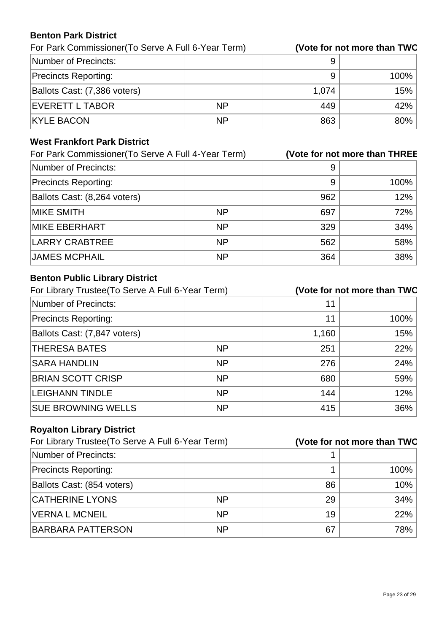#### **Benton Park District**

For Park Commissioner(To Serve A Full 6-Year Term) **(Vote for not more than TWO)**

| Number of Precincts:         |           |       |      |
|------------------------------|-----------|-------|------|
| <b>Precincts Reporting:</b>  |           |       | 100% |
| Ballots Cast: (7,386 voters) |           | 1,074 | 15%  |
| <b>EVERETT L TABOR</b>       | <b>NP</b> | 449   | 42%  |
| <b>KYLE BACON</b>            | ΝP        | 863   | 80%  |

### **West Frankfort Park District**

| For Park Commissioner (To Serve A Full 4-Year Term) |           |     | (Vote for not more than THREE |
|-----------------------------------------------------|-----------|-----|-------------------------------|
| Number of Precincts:                                |           | 9   |                               |
| <b>Precincts Reporting:</b>                         |           | 9   | 100%                          |
| Ballots Cast: (8,264 voters)                        |           | 962 | 12%                           |
| <b>MIKE SMITH</b>                                   | <b>NP</b> | 697 | 72%                           |
| <b>MIKE EBERHART</b>                                | <b>NP</b> | 329 | 34%                           |
| <b>LARRY CRABTREE</b>                               | <b>NP</b> | 562 | 58%                           |
| <b>JAMES MCPHAIL</b>                                | <b>NP</b> | 364 | 38%                           |

### **Benton Public Library District**

| For Library Trustee (To Serve A Full 6-Year Term) |           |       | (Vote for not more than TWO |
|---------------------------------------------------|-----------|-------|-----------------------------|
| Number of Precincts:                              |           | 11    |                             |
| <b>Precincts Reporting:</b>                       |           | 11    | 100%                        |
| Ballots Cast: (7,847 voters)                      |           | 1,160 | 15%                         |
| <b>THERESA BATES</b>                              | <b>NP</b> | 251   | 22%                         |
| <b>SARA HANDLIN</b>                               | <b>NP</b> | 276   | 24%                         |
| <b>BRIAN SCOTT CRISP</b>                          | <b>NP</b> | 680   | 59%                         |
| <b>LEIGHANN TINDLE</b>                            | <b>NP</b> | 144   | 12%                         |
| <b>SUE BROWNING WELLS</b>                         | <b>NP</b> | 415   | 36%                         |

## **Royalton Library District**

| For Library Trustee (To Serve A Full 6-Year Term) |           |    | (Vote for not more than TWO |
|---------------------------------------------------|-----------|----|-----------------------------|
| Number of Precincts:                              |           |    |                             |
| <b>Precincts Reporting:</b>                       |           |    | 100%                        |
| Ballots Cast: (854 voters)                        |           | 86 | 10%                         |
| <b>CATHERINE LYONS</b>                            | <b>NP</b> | 29 | 34%                         |
| <b>VERNA L MCNEIL</b>                             | <b>NP</b> | 19 | 22%                         |
| <b>BARBARA PATTERSON</b>                          | <b>NP</b> | 67 | 78%                         |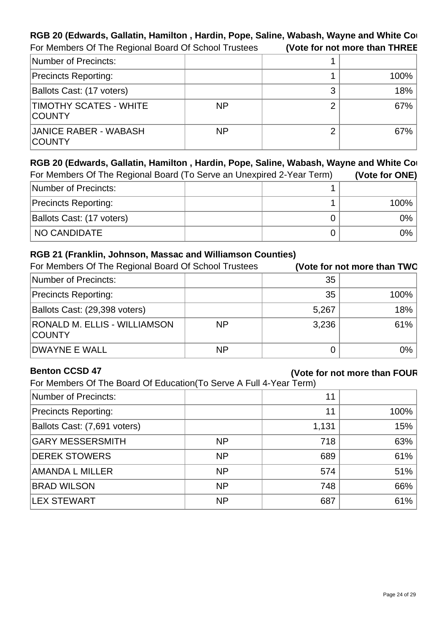#### RGB 20 (Edwards, Gallatin, Hamilton, Hardin, Pope, Saline, Wabash, Wayne and White Counties For Members Of The Regional Board Of School Trustees **(Vote for not more than THREE)**

| Number of Precincts:                           |           |   |      |
|------------------------------------------------|-----------|---|------|
| <b>Precincts Reporting:</b>                    |           |   | 100% |
| Ballots Cast: (17 voters)                      |           |   | 18%  |
| <b>TIMOTHY SCATES - WHITE</b><br><b>COUNTY</b> | <b>NP</b> | n | 67%  |
| <b>JANICE RABER - WABASH</b><br><b>COUNTY</b>  | <b>NP</b> | ⌒ | 67%  |

| RGB 20 (Edwards, Gallatin, Hamilton, Hardin, Pope, Saline, Wabash, Wayne and White Cor |                |  |       |  |
|----------------------------------------------------------------------------------------|----------------|--|-------|--|
| For Members Of The Regional Board (To Serve an Unexpired 2-Year Term)                  | (Vote for ONE) |  |       |  |
| Number of Precincts:                                                                   |                |  |       |  |
| <b>Precincts Reporting:</b>                                                            |                |  | 100%  |  |
| Ballots Cast: (17 voters)                                                              |                |  | $0\%$ |  |
| NO CANDIDATE                                                                           |                |  | $0\%$ |  |

#### **RGB 21 (Franklin, Johnson, Massac and Williamson Counties)**

| For Members Of The Regional Board Of School Trustees |           |       | (Vote for not more than TWO |
|------------------------------------------------------|-----------|-------|-----------------------------|
| Number of Precincts:                                 |           | 35    |                             |
| <b>Precincts Reporting:</b>                          |           | 35    | 100%                        |
| Ballots Cast: (29,398 voters)                        |           | 5,267 | 18%                         |
| <b>RONALD M. ELLIS - WILLIAMSON</b><br><b>COUNTY</b> | <b>NP</b> | 3,236 | 61%                         |
| <b>DWAYNE E WALL</b>                                 | <b>NP</b> |       | 0%                          |

#### **Benton CCSD 47**

### **(Vote for not more than FOUR)**

For Members Of The Board Of Education(To Serve A Full 4-Year Term)

| Number of Precincts:         |           | 11    |      |
|------------------------------|-----------|-------|------|
| <b>Precincts Reporting:</b>  |           | 11    | 100% |
| Ballots Cast: (7,691 voters) |           | 1,131 | 15%  |
| <b>GARY MESSERSMITH</b>      | <b>NP</b> | 718   | 63%  |
| <b>DEREK STOWERS</b>         | <b>NP</b> | 689   | 61%  |
| AMANDA L MILLER              | <b>NP</b> | 574   | 51%  |
| <b>BRAD WILSON</b>           | <b>NP</b> | 748   | 66%  |
| <b>LEX STEWART</b>           | <b>NP</b> | 687   | 61%  |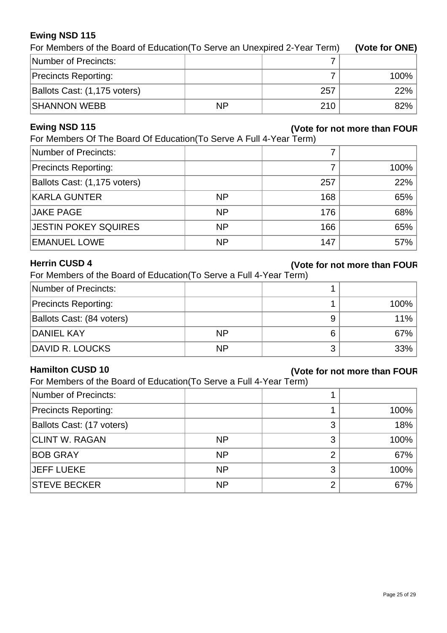#### **Ewing NSD 115**

| For Members of the Board of Education (To Serve an Unexpired 2-Year Term) | (Vote for ONE) |     |         |
|---------------------------------------------------------------------------|----------------|-----|---------|
| Number of Precincts:                                                      |                |     |         |
| <b>Precincts Reporting:</b>                                               |                |     | $100\%$ |
| Ballots Cast: (1,175 voters)                                              |                | 257 | 22%     |
| <b>SHANNON WEBB</b>                                                       | <b>NP</b>      | 210 | 82%     |

#### **Ewing NSD 115**

#### **(Vote for not more than FOUR)**

For Members Of The Board Of Education(To Serve A Full 4-Year Term)

| Number of Precincts:         |           |     |         |
|------------------------------|-----------|-----|---------|
| <b>Precincts Reporting:</b>  |           |     | $100\%$ |
| Ballots Cast: (1,175 voters) |           | 257 | 22%     |
| <b>KARLA GUNTER</b>          | <b>NP</b> | 168 | 65%     |
| JAKE PAGE                    | <b>NP</b> | 176 | 68%     |
| <b>JESTIN POKEY SQUIRES</b>  | <b>NP</b> | 166 | 65%     |
| <b>EMANUEL LOWE</b>          | <b>NP</b> | 147 | $57\%$  |

#### **Herrin CUSD 4**

#### **(Vote for not more than FOUR)**

| For Members of the Board of Education (To Serve a Full 4-Year Term) |  |  |  |  |  |
|---------------------------------------------------------------------|--|--|--|--|--|
|                                                                     |  |  |  |  |  |

| Number of Precincts:        |           |   |      |
|-----------------------------|-----------|---|------|
| <b>Precincts Reporting:</b> |           |   | 100% |
| Ballots Cast: (84 voters)   |           |   | 11%  |
| <b>DANIEL KAY</b>           | <b>NP</b> | 6 | 67%  |
| DAVID R. LOUCKS             | <b>NP</b> |   | 33%  |

#### **Hamilton CUSD 10**

### **(Vote for not more than FOUR)**

For Members of the Board of Education(To Serve a Full 4-Year Term)

|           |   | 100% |
|-----------|---|------|
|           | 3 | 18%  |
| <b>NP</b> | 3 | 100% |
| <b>NP</b> |   | 67%  |
| <b>NP</b> | 3 | 100% |
| <b>NP</b> | σ | 67%  |
|           |   |      |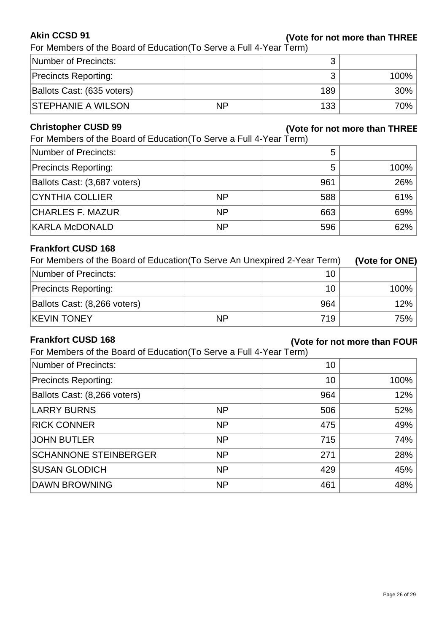#### **Akin CCSD 91**

#### **(Vote for not more than THREE)**

For Members of the Board of Education(To Serve a Full 4-Year Term)

| Number of Precincts:        |           |     |           |
|-----------------------------|-----------|-----|-----------|
| <b>Precincts Reporting:</b> |           |     | $100\%$ . |
| Ballots Cast: (635 voters)  |           | 189 | $30\%$    |
| <b>STEPHANIE A WILSON</b>   | <b>NP</b> | 133 | 70%       |

#### **Christopher CUSD 99**

#### **(Vote for not more than THREE)**

For Members of the Board of Education(To Serve a Full 4-Year Term)

| Number of Precincts:         |           | 5   |         |
|------------------------------|-----------|-----|---------|
| <b>Precincts Reporting:</b>  |           | 5   | $100\%$ |
| Ballots Cast: (3,687 voters) |           | 961 | 26%     |
| <b>CYNTHIA COLLIER</b>       | <b>NP</b> | 588 | 61%     |
| <b>CHARLES F. MAZUR</b>      | <b>NP</b> | 663 | 69%     |
| <b>KARLA McDONALD</b>        | <b>NP</b> | 596 | $62\%$  |

#### **Frankfort CUSD 168**

| For Members of the Board of Education (To Serve An Unexpired 2-Year Term) | (Vote for ONE) |     |      |
|---------------------------------------------------------------------------|----------------|-----|------|
| Number of Precincts:                                                      | 10             |     |      |
| <b>Precincts Reporting:</b>                                               |                | 10  | 100% |
| Ballots Cast: (8,266 voters)                                              |                | 964 | 12%  |
| <b>KEVIN TONEY</b>                                                        | <b>NP</b>      | 719 | 75%  |

#### **Frankfort CUSD 168**

### **(Vote for not more than FOUR)**

For Members of the Board of Education(To Serve a Full 4-Year Term)

| Number of Precincts:         |           | 10  |      |
|------------------------------|-----------|-----|------|
| <b>Precincts Reporting:</b>  |           | 10  | 100% |
| Ballots Cast: (8,266 voters) |           | 964 | 12%  |
| <b>LARRY BURNS</b>           | <b>NP</b> | 506 | 52%  |
| <b>RICK CONNER</b>           | <b>NP</b> | 475 | 49%  |
| <b>JOHN BUTLER</b>           | <b>NP</b> | 715 | 74%  |
| <b>SCHANNONE STEINBERGER</b> | <b>NP</b> | 271 | 28%  |
| <b>SUSAN GLODICH</b>         | <b>NP</b> | 429 | 45%  |
| <b>DAWN BROWNING</b>         | <b>NP</b> | 461 | 48%  |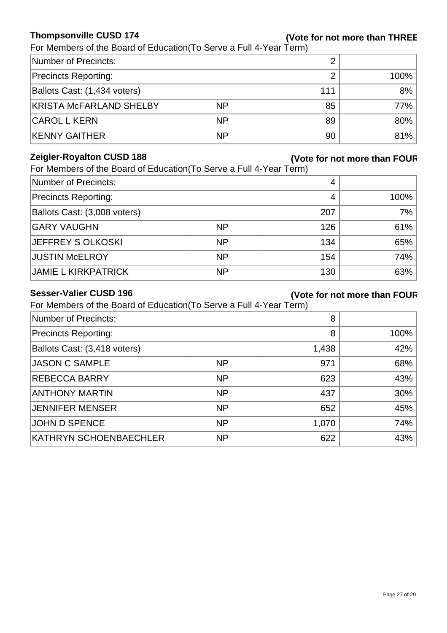#### **Thompsonville CUSD 174**

### **(Vote for not more than THREE)**

For Members of the Board of Education(To Serve a Full 4-Year Term)

| Number of Precincts:           |           |     |         |
|--------------------------------|-----------|-----|---------|
| <b>Precincts Reporting:</b>    |           |     | $100\%$ |
| Ballots Cast: (1,434 voters)   |           | 111 | 8%      |
| <b>KRISTA MCFARLAND SHELBY</b> | <b>NP</b> | 85  | $77\%$  |
| <b>CAROL L KERN</b>            | <b>NP</b> | 89  | 80%     |
| <b>KENNY GAITHER</b>           | <b>NP</b> | 90  | 81%     |

#### **Zeigler-Royalton CUSD 188**

### **(Vote for not more than FOUR)**

For Members of the Board of Education (To Serve a Full 4-Year Term)

| Number of Precincts:         |           |     |      |
|------------------------------|-----------|-----|------|
| <b>Precincts Reporting:</b>  |           |     | 100% |
| Ballots Cast: (3,008 voters) |           | 207 | 7%   |
| <b>GARY VAUGHN</b>           | <b>NP</b> | 126 | 61%  |
| JEFFREY S OLKOSKI            | <b>NP</b> | 134 | 65%  |
| <b>JUSTIN McELROY</b>        | <b>NP</b> | 154 | 74%  |
| <b>JAMIE L KIRKPATRICK</b>   | <b>NP</b> | 130 | 63%  |

#### **Sesser-Valier CUSD 196**

#### **(Vote for not more than FOUR)**

For Members of the Board of Education(To Serve a Full 4-Year Term)

| Number of Precincts:         |           | 8     |      |
|------------------------------|-----------|-------|------|
| <b>Precincts Reporting:</b>  |           | 8     | 100% |
| Ballots Cast: (3,418 voters) |           | 1,438 | 42%  |
| <b>JASON C SAMPLE</b>        | <b>NP</b> | 971   | 68%  |
| <b>REBECCA BARRY</b>         | <b>NP</b> | 623   | 43%  |
| <b>ANTHONY MARTIN</b>        | <b>NP</b> | 437   | 30%  |
| JENNIFER MENSER              | <b>NP</b> | 652   | 45%  |
| <b>JOHN D SPENCE</b>         | <b>NP</b> | 1,070 | 74%  |
| KATHRYN SCHOENBAECHLER       | <b>NP</b> | 622   | 43%  |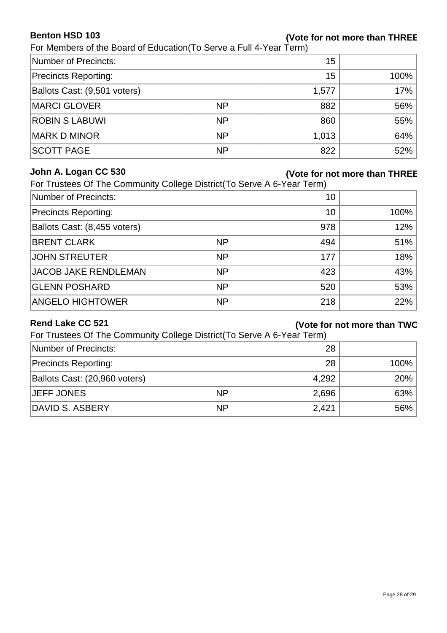#### **Benton HSD 103**

#### **(Vote for not more than THREE)**

For Members of the Board of Education(To Serve a Full 4-Year Term)

| Number of Precincts:         |           | 15    |      |
|------------------------------|-----------|-------|------|
| <b>Precincts Reporting:</b>  |           | 15    | 100% |
| Ballots Cast: (9,501 voters) |           | 1,577 | 17%  |
| <b>MARCI GLOVER</b>          | <b>NP</b> | 882   | 56%  |
| <b>ROBIN S LABUWI</b>        | <b>NP</b> | 860   | 55%  |
| <b>MARK D MINOR</b>          | <b>NP</b> | 1,013 | 64%  |
| <b>SCOTT PAGE</b>            | <b>NP</b> | 822   | 52%  |

#### **John A. Logan CC 530**

#### **(Vote for not more than THREE)**

For Trustees Of The Community College District(To Serve A 6-Year Term)

| Number of Precincts:         |           | 10  |      |
|------------------------------|-----------|-----|------|
| <b>Precincts Reporting:</b>  |           | 10  | 100% |
| Ballots Cast: (8,455 voters) |           | 978 | 12%  |
| <b>BRENT CLARK</b>           | <b>NP</b> | 494 | 51%  |
| <b>JOHN STREUTER</b>         | <b>NP</b> | 177 | 18%  |
| <b>JACOB JAKE RENDLEMAN</b>  | <b>NP</b> | 423 | 43%  |
| <b>GLENN POSHARD</b>         | <b>NP</b> | 520 | 53%  |
| <b>ANGELO HIGHTOWER</b>      | <b>NP</b> | 218 | 22%  |

#### **Rend Lake CC 521**

#### **(Vote for not more than TWO)**

For Trustees Of The Community College District(To Serve A 6-Year Term)

| Number of Precincts:          |           | 28    |         |
|-------------------------------|-----------|-------|---------|
| <b>Precincts Reporting:</b>   |           | 28    | $100\%$ |
| Ballots Cast: (20,960 voters) |           | 4,292 | $20\%$  |
| <b>JEFF JONES</b>             | <b>NP</b> | 2,696 | 63%     |
| DAVID S. ASBERY               | <b>NP</b> | 2,421 | $56\%$  |